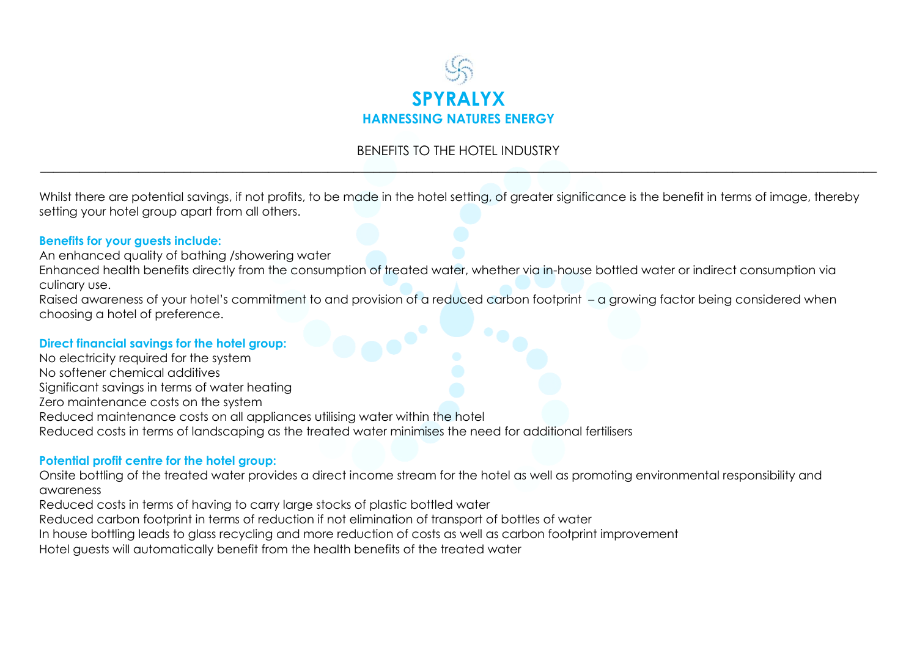

## BENEFITS TO THE HOTEL INDUSTRY \_\_\_\_\_\_\_\_\_\_\_\_\_\_\_\_\_\_\_\_\_\_\_\_\_\_\_\_\_\_\_\_\_\_\_\_\_\_\_\_\_\_\_\_\_\_\_\_\_\_\_\_\_\_\_\_\_\_\_\_\_\_\_\_\_\_\_\_\_\_\_\_\_\_\_\_\_\_\_\_\_\_\_\_\_\_\_\_\_\_\_\_\_\_\_\_\_\_\_\_\_\_\_\_\_\_\_\_\_\_\_\_\_\_\_\_\_\_\_\_\_\_\_\_\_\_\_\_

Whilst there are potential savings, if not profits, to be made in the hotel setting, of greater significance is the benefit in terms of image, thereby setting your hotel group apart from all others.

## **Benefits for your guests include:**

An enhanced quality of bathing /showering water

Enhanced health benefits directly from the consumption of treated water, whether via in-house bottled water or indirect consumption via culinary use.

Raised awareness of your hotel's commitment to and provision of a reduced carbon footprint – a growing factor being considered when choosing a hotel of preference.

## **Direct financial savings for the hotel group:**

No electricity required for the system No softener chemical additives Significant savings in terms of water heating Zero maintenance costs on the system Reduced maintenance costs on all appliances utilising water within the hotel Reduced costs in terms of landscaping as the treated water minimises the need for additional fertilisers

## **Potential profit centre for the hotel group:**

Onsite bottling of the treated water provides a direct income stream for the hotel as well as promoting environmental responsibility and awareness

Reduced costs in terms of having to carry large stocks of plastic bottled water

Reduced carbon footprint in terms of reduction if not elimination of transport of bottles of water

In house bottling leads to glass recycling and more reduction of costs as well as carbon footprint improvement

Hotel guests will automatically benefit from the health benefits of the treated water